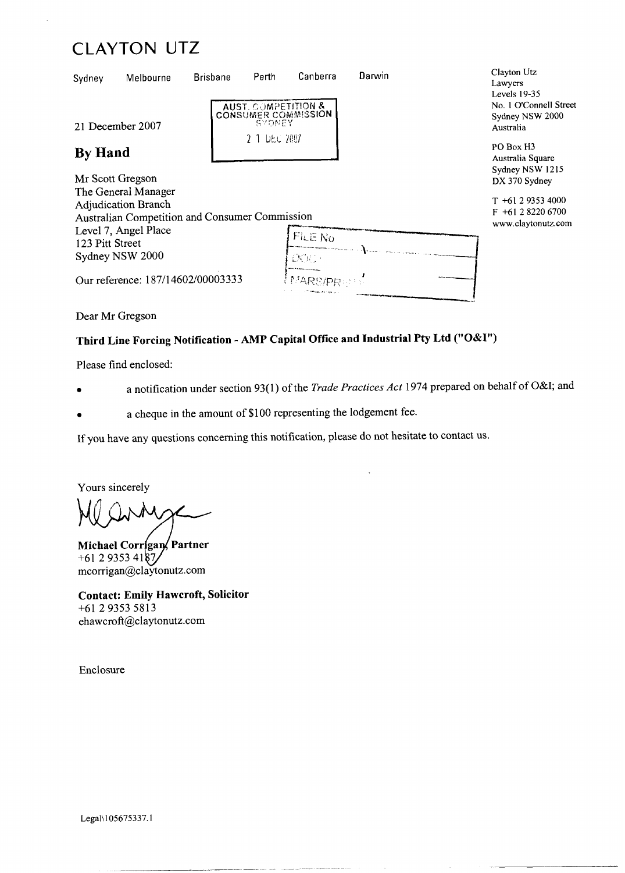# **CLAYTON** UTZ

| Sydney                                                                                              | Melbourne | <b>Brisbane</b> | Perth        | Canberra        | Darwin |                              | Clayton Utz<br>Lawyers<br>Levels 19-35<br>No. 1 O'Connell Street |
|-----------------------------------------------------------------------------------------------------|-----------|-----------------|--------------|-----------------|--------|------------------------------|------------------------------------------------------------------|
| AUST. COMPETITION &<br>SYDNEY<br>21 December 2007                                                   |           |                 |              |                 |        | Sydney NSW 2000<br>Australia |                                                                  |
| By Hand                                                                                             |           |                 | 2 1 DEC 2007 |                 |        |                              | PO Box H <sub>3</sub><br>Australia Square                        |
| Mr Scott Gregson                                                                                    |           |                 |              |                 |        |                              | Sydney NSW 1215<br>DX 370 Sydney                                 |
| The General Manager<br><b>Adjudication Branch</b><br>Australian Competition and Consumer Commission |           |                 |              |                 |        |                              | $T + 61293534000$<br>F +61 2 8220 6700<br>www.claytonutz.com     |
| Level 7, Angel Place<br>123 Pitt Street<br>Sydney NSW 2000<br>Our reference: 187/14602/00003333     |           |                 |              | FILE No.<br>DCC |        |                              |                                                                  |
|                                                                                                     |           |                 |              |                 |        |                              |                                                                  |
|                                                                                                     |           |                 |              |                 |        |                              |                                                                  |

Dear Mr Gregson

# **Third Line Forcing Notification** - **AMP Capital Office and Industrial Pty Ltd** ("O&I")

Please find enclosed:

- a notification under section 93(1) of the *Trade Practices Act* 1974 prepared on behalf of O&I; and
- a cheque in the amount of \$1 00 representing the lodgement fee.

If you have any questions concerning this notification, please do not hesitate to contact us.

Yours sincerely

Michael Corrigan Partner  $+61293534187$ mcorrigan@claytonutz.com

**Contact: Emily Hawcroft, Solicitor**  +61 2 9353 5813 ehawcroft@claytonutz.com

Enclosure

Legal\105675337.1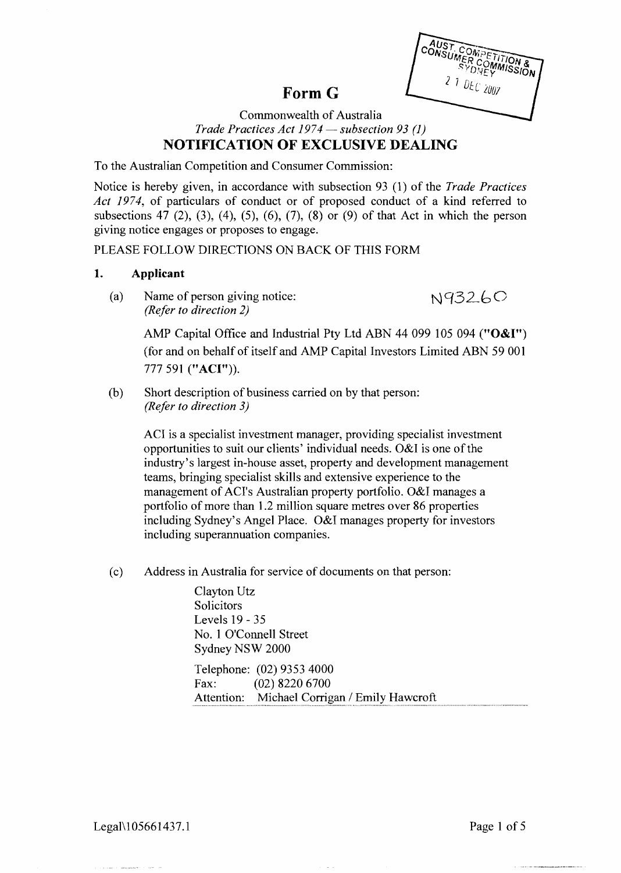|  |              | CONSUMER COMPETITION & |
|--|--------------|------------------------|
|  | 2 1 DEC 2007 |                        |
|  |              |                        |

# Form G

*Commonwealth of Australia*<br>*Trade Practices Act 1974 — subsection 93 (1)* **NOTIFICATION OF EXCLUSIVE DEALING** 

To the Australian Competition and Consumer Commission:

Notice is hereby given, in accordance with subsection 93 (1) of the *Trade Practices Act* 1974, of particulars of conduct or of proposed conduct of a kind referred to subsections 47 (2), (3), (4), (5), (6), (7), (8) or (9) of that Act in which the person giving notice engages or proposes to engage.

PLEASE FOLLOW DIRECTIONS ON BACK OF THIS FORM

# **1. Applicant**

(a) Name of person giving notice: *(Refer to direction 2)* 

N93260

AMP Capital Office and Industrial Pty Ltd ABN 44 099 105 094 ("O&I") (for and on behalf of itself and AMP Capital Investors Limited ABN 59 001 777 591 ("ACI")).

(b) Short description of business carried on by that person: *(Refer to direction* 3)

> ACI is a specialist investment manager, providing specialist investment opportunities to suit.our clients' individual needs. O&I is one of the industry's largest in-house asset, property and development management teams, bringing specialist skills and extensive experience to the management of ACI's Australian property portfolio. O&I manages a portfolio of more than 1.2 million square metres over 86 properties including Sydney's Angel Place. O&I manages property for investors including superannuation companies.

(c) Address in Australia for service of documents on that person:

Clayton Utz Solicitors Levels 19 - 35 No. 1 O'Connell Street Sydney NS W 2000 Telephone: (02) 9353 4000 Fax: (02) 8220 6700 Michael Corrigan / Emily Hawcroft Attention: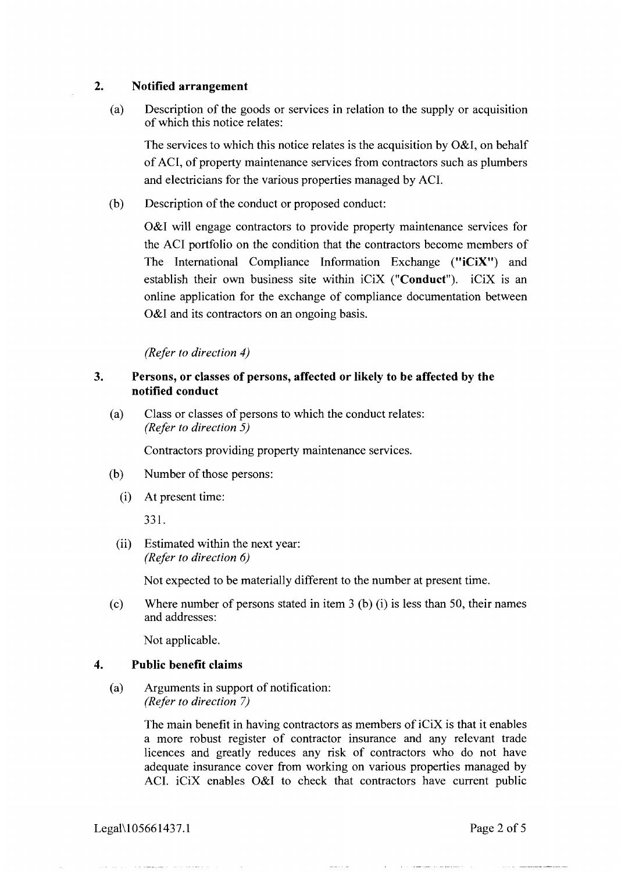## **2.** Notified arrangement

(a) Description of the goods or services in relation to the supply or acquisition of which this notice relates:

The services to which this notice relates is the acquisition by O&I, on behalf of ACI, of property maintenance services from contractors such as plumbers and electricians for the various properties managed by ACI.

(b) Description of the conduct or proposed conduct:

O&I will engage contractors to provide property maintenance services for the ACI portfolio on the condition that the contractors become members of The International Compliance Information Exchange ("iCiX") and establish their own business site within iCiX ("Conduct"). iCiX is an online application for the exchange of compliance documentation between 0&I and its contractors on an ongoing basis.

### *(Refer to direction 4)*

# **3.** Persons, or classes of persons, affected or likely to be affected by the notified conduct

(a) Class or classes of persons to which the conduct relates: *(Refer to direction 5)* 

Contractors providing property maintenance services.

- (b) Number of those persons:
	- (i) At present time:

331.

(ii) Estimated within the next year: *(Refer to direction 6)* 

Not expected to be materially different to the number at present time.

(c) Where number of persons stated in item 3 (b) (i) is less than 50, their names and addresses:

Not applicable.

#### 4. Public benefit claims

(a) Arguments in support of notification: *(Refer to direction 7)* 

> The main benefit in having contractors as members of iCiX is that it enables a more robust register of contractor insurance and any relevant trade licences and greatly reduces any risk of contractors who do not have adequate insurance cover from working on various properties managed by ACI. iCiX enables O&I to check that contractors have current public

> > $\dot{\omega}$  is a set of

Page 2 of *5* 

.<br>The contract communication of the contract contract of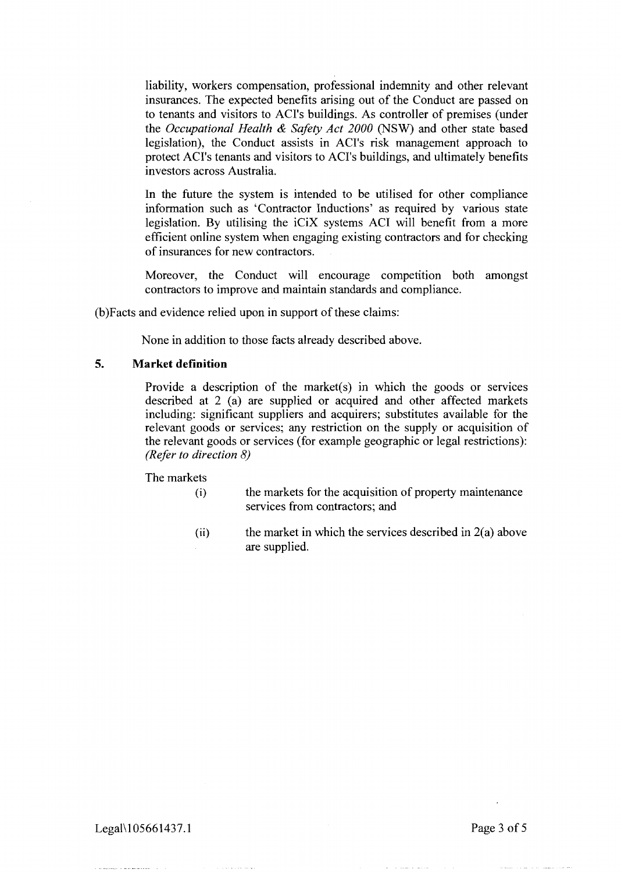liability, workers compensation, professional indemnity and other relevant insurances. The expected benefits arising out of the Conduct are passed on to tenants and visitors to ACI's buildings. As controller of premises (under the *Occupational Health* & *Safety Act 2000 (NSW)* and other state based legislation), the Conduct assists in ACI's risk management approach to protect ACI's tenants and visitors to ACI's buildings, and ultimately benefits investors across Australia.

In the future the system is intended to be utilised for other compliance information such as 'Contractor Inductions' as required by various state legislation. By utilising the iCiX systems ACI will benefit from a more efficient online system when engaging existing contractors and for checking of insurances for new contractors.

Moreover, the Conduct will encourage competition both amongst contractors to improve and maintain standards and compliance.

(b)Facts and evidence relied upon in support of these claims:

None in addition to those facts already described above.

#### **5. Market definition**

Provide a description of the market(s) in which the goods or services described at 2 (a) are supplied or acquired and other affected markets including: significant suppliers and acquirers; substitutes available for the relevant goods or services; any restriction on the supply or acquisition of the relevant goods or services (for example geographic or legal restrictions): *(Refer to direction 8)* 

The markets

- (i) the markets for the acquisition of property maintenance services from contractors; and
- (ii) the market in which the services described in  $2(a)$  above are supplied.

# Legal\105661437.1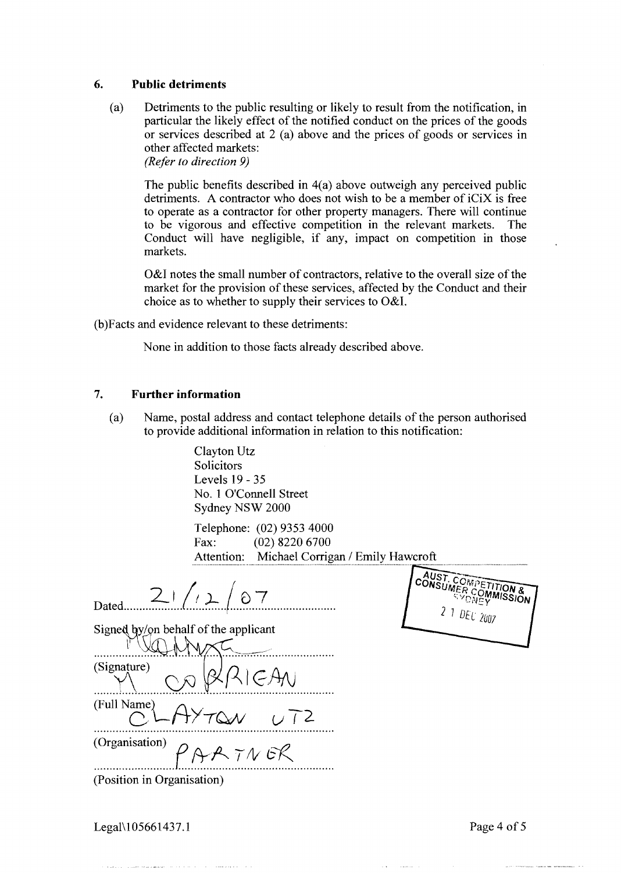#### **6. Public detriments**

(a) Detriments to the public resulting or likely to result from the notification, in particular the likely effect of the notified conduct on the prices of the goods or services described at 2 (a) above and the prices of goods or services in other affected markets: *(Refer to direction 9)* 

The public benefits described in 4(a) above outweigh any perceived public detriments. A contractor who does not wish to be a member of iCiX is free to operate as a contractor for other property managers. There will continue to be vigorous and effective competition in the relevant markets. The Conduct will have negligible, if any, impact on competition in those markets.

O&I notes the small number of contractors, relative to the overall size of the market for the provision of these services, affected by the Conduct and their choice as to whether to supply their services to O&I.

(b)Facts and evidence relevant to these detriments:

None in addition to those facts already described above.

### **7. Further information**

(a) Name, postal address and contact telephone details of the person authorised to provide additional information in relation to this notification:

> Clayton Utz **Solicitors** Levels 19 - 35 No. 1 O'Connell Street Sydney NSW 2000

Telephone: (02) 9353 4000 Fax:  $(02)$  8220 6700 Attention: Michael Corrigan / Emily Hawcroft

 $Dated..... 21/(2/07)$ Signed by/on behalf of the applicant 2000.000.000.000.000 (Signature) (Full Name)  $^{\text{(Organisation)}}$   $\rho$   $\rho \rho$   $\tau \wedge \varepsilon \mathcal{R}$ 

(Position in Organisation)

2 1 DEC 2007

 $Legal\105661437.1$